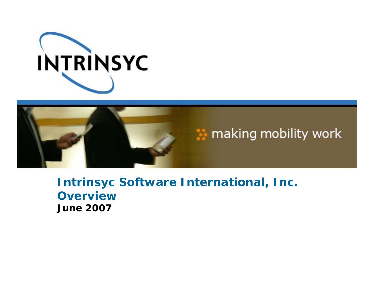



**Intrinsyc Software International, Inc. OverviewJune 2007**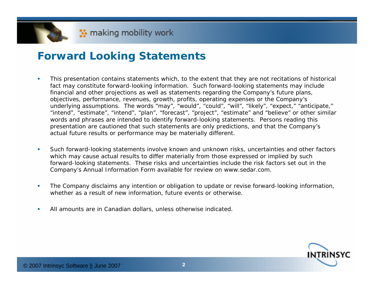# **Forward Looking Statements**

- $\mathcal{L}_{\mathcal{A}}$  This presentation contains statements which, to the extent that they are not recitations of historical fact may constitute forward-looking information. Such forward-looking statements may include financial and other projections as well as statements regarding the Company's future plans, objectives, performance, revenues, growth, profits, operating expenses or the Company's underlying assumptions. The words "may", "would", "could", "will", "likely", "expect," "anticipate," "intend", "estimate", "intend", "plan", "forecast", "project", "estimate" and "believe" or other similar words and phrases are intended to identify forward-looking statements. Persons reading this presentation are cautioned that such statements are only predictions, and that the Company's actual future results or performance may be materially different.
- $\overline{\phantom{a}}$  Such forward-looking statements involve known and unknown risks, uncertainties and other factors which may cause actual results to differ materially from those expressed or implied by such forward-looking statements. These risks and uncertainties include the risk factors set out in the Company's Annual Information Form available for review on www.sedar.com.
- ×. The Company disclaims any intention or obligation to update or revise forward-looking information, whether as a result of new information, future events or otherwise.
- U, All amounts are in Canadian dollars, unless otherwise indicated.

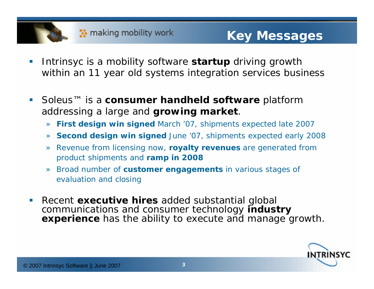

- h. Intrinsyc is a mobility software **startup** driving growth within an 11 year old systems integration services business
- F Soleus™ is a **consumer handheld software** platform addressing a large and **growing market**.
	- » **First design win signed** March '07, shipments expected late 2007
	- » **Second design win signed** June '07, shipments expected early 2008
	- » Revenue from licensing now, **royalty revenues** are generated from product shipments and **ramp in 2008**
	- » Broad number of **customer engagements** in various stages of evaluation and closing
- F **Recent executive hires** added substantial global communications and consumer technology **industry experience** has the ability to execute and manage growth.

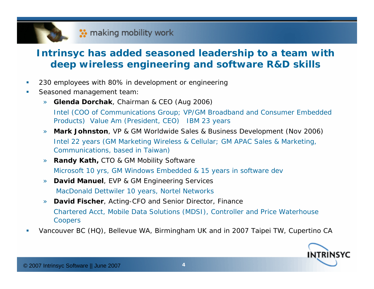# **Intrinsyc has added seasoned leadership to a team with deep wireless engineering and software R&D skills**

- $\overline{\phantom{a}}$ 230 employees with 80% in development or engineering
- $\overline{\phantom{a}}$  Seasoned management team:
	- » **Glenda Dorchak**, Chairman & CEO (Aug 2006) Intel (COO of Communications Group; VP/GM Broadband and Consumer Embedded Products) Value Am (President, CEO) IBM 23 years
	- » **Mark Johnston**, VP & GM Worldwide Sales & Business Development (Nov 2006) Intel 22 years (GM Marketing Wireless & Cellular; GM APAC Sales & Marketing, Communications, based in Taiwan)
	- » **Randy Kath,** CTO & GM Mobility Software Microsoft 10 yrs, GM Windows Embedded & 15 years in software dev
	- »**David Manuel, EVP & GM Engineering Services** MacDonald Dettwiler 10 years, Nortel Networks
	- » **David Fischer**, Acting-CFO and Senior Director, Finance Chartered Acct, Mobile Data Solutions (MDSI), Controller and Price Waterhouse Coopers
- $\overline{\phantom{a}}$ Vancouver BC (HQ), Bellevue WA, Birmingham UK and in 2007 Taipei TW, Cupertino CA

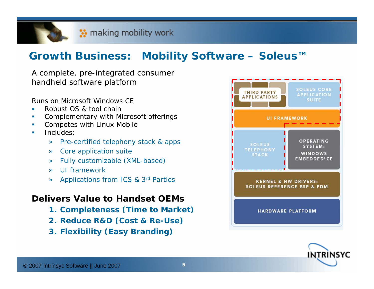# **Growth Business: Mobility Software – Soleus™**

A complete, pre-integrated consumer handheld software platform

Runs on Microsoft Windows CE

- $\overline{\phantom{a}}$ Robust OS & tool chain
- $\overline{\mathcal{M}}$ Complementary with Microsoft offerings
- $\mathcal{C}$ Competes with Linux Mobile
- m. Includes:
	- »Pre-certified telephony stack & apps
	- »Core application suite
	- »Fully customizable (XML-based)
	- »UI framework
	- » Applications from ICS & 3rd Parties

### **Delivers Value to Handset OEMs**

- **1. Completeness (Time to Market)**
- **2. Reduce R&D (Cost & Re-Use)**
- **3. Flexibility (Easy Branding)**



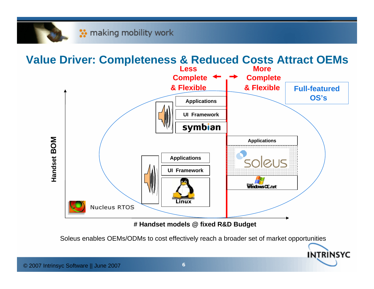

**# Handset models @ fixed R&D Budget**

Soleus enables OEMs/ODMs to cost effectively reach a broader set of market opportunities

**INTRINSYC**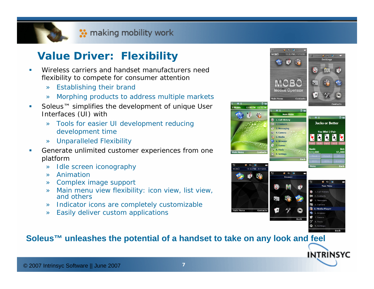# **Value Driver: Flexibility**

- ш Wireless carriers and handset manufacturers need flexibility to compete for consumer attention
	- » Establishing their brand
	- »Morphing products to address multiple markets
- П Soleus™ simplifies the development of unique User Interfaces (UI) with
	- » Tools for easier UI development reducing development time
	- » Unparalleled Flexibility
- ш Generate unlimited customer experiences from one platform
	- » Idle screen iconography
	- »Animation
	- » Complex image support
	- » Main menu view flexibility: icon view, list view, and others
	- » Indicator icons are completely customizable
	- » Easily deliver custom applications



### **Soleus™ unleashes the potential of a handset to take on any look and feel**

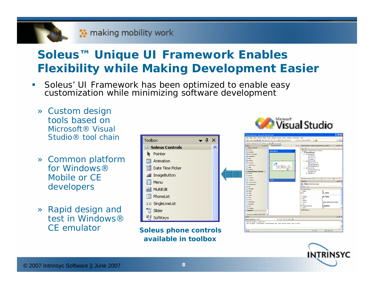# **Soleus™ Unique UI Framework Enables Flexibility while Making Development Easier**

- $\Box$  Soleus' UI Framework has been optimized to enable easy customization while minimizing software development
	- » Custom design tools based on Microsoft® Visual Studio® tool chain
	- » Common platform for Windows® Mobile or CE developers
	- » Rapid design and test in Windows® CE emulator



 **Soleus phone controls available in toolbox**



| Tackers:<br>$-3x$                                                                                                                                                                                                                                                                                                                                      | Interest Soleur OVGA Teen There & = 15x 24 1 1 Ch 2<br>SoleusPhone6.fx*<br>$7 \times$ | Solution Explorer - Solution 'SoleusPhones' (1 project)                                                                                                                                                                                                                                                                                                                                                                                                                     | $-4x$                           |
|--------------------------------------------------------------------------------------------------------------------------------------------------------------------------------------------------------------------------------------------------------------------------------------------------------------------------------------------------------|---------------------------------------------------------------------------------------|-----------------------------------------------------------------------------------------------------------------------------------------------------------------------------------------------------------------------------------------------------------------------------------------------------------------------------------------------------------------------------------------------------------------------------------------------------------------------------|---------------------------------|
|                                                                                                                                                                                                                                                                                                                                                        |                                                                                       |                                                                                                                                                                                                                                                                                                                                                                                                                                                                             |                                 |
| - Saless Cardrols<br><b>b</b> Pointer<br><b>CE Animation</b><br>Date Time Picker<br>all Insordumon<br>Neru<br>all marie<br><b>TI PhoneUat</b><br><b>CI SndKinGit</b><br>"S 5km<br><b>Will Software</b><br>- Common Device Controls<br>Pointer<br><b>Call Button</b><br>[7] CheckBox<br><b>LE Conbobox</b><br>L3 CustomControl<br><b>Date Time Text</b> | <b>Hello World</b><br>Denn                                                            | $\Box$ $\Box$<br>Solution 'SoleusPhone6' (1 project)<br><b>10 SoleusPhanet</b><br><b>TO Header Fire</b><br>[a] revess.h.<br>al resource.h<br>al stable.h.<br><b>Phenource Files</b><br>to background.gd<br>Fel Soleuthones Fr<br>La SoleuaPhone6.rc<br><b>D</b> Source Pilet<br>10-3 Scientifficnes cop<br>0-3 stdafv.cop<br><b>D</b> Readful bit<br>Solution Explorer Technol Manual Manager Tel Team Explorer<br><b>Properties</b><br><b>IDC_IMAGE</b> U/DControls. Image | $-1 \times$                     |
| all Edit<br><b>K.A. HScrollbar</b><br><b>EL Shace</b><br>Al Label<br><b>Ill Listfico</b><br><b>BELL Pitation</b><br><b>Ti Panel</b><br>(c) Badcification<br>Rectangle<br>"I fed.<br>5 Vicyalitar<br>- General                                                                                                                                          |                                                                                       | 101<br>El GuAttributes<br>Height<br>93<br>BI 1d<br><b>HOC IMAGE</b><br>Dings<br><b>DOR IMAGE</b><br><b>Inapeld</b><br>Liste<br>$\mathbf{a}$<br><b>Opacity</b><br>$\alpha$<br><b>IMAGE POSITION CENTER</b><br>Position<br>Top.<br>75<br>0+40000001<br><b>GI TransparentColor</b><br><b>Width</b><br>237<br>UniMitributes                                                                                                                                                     | C/Documents and Setting/Several |
| There are no usable controls in this w                                                                                                                                                                                                                                                                                                                 |                                                                                       |                                                                                                                                                                                                                                                                                                                                                                                                                                                                             |                                 |
| Output                                                                                                                                                                                                                                                                                                                                                 |                                                                                       |                                                                                                                                                                                                                                                                                                                                                                                                                                                                             | $-1x$                           |
| Show output from: Debug                                                                                                                                                                                                                                                                                                                                | 110 111 12 12                                                                         |                                                                                                                                                                                                                                                                                                                                                                                                                                                                             |                                 |

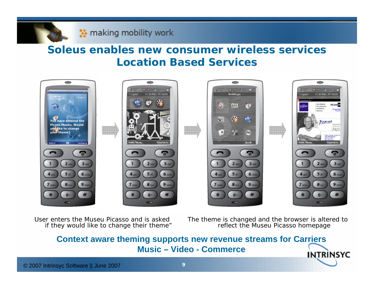# **Soleus enables new consumer wireless services Location Based Services**



User enters the Museu Picasso and is asked if they would like to change their theme"

The theme is changed and the browser is altered to reflect the Museu Picasso homepage

### **Context aware theming supports new revenue streams for Carriers Music – Video - CommerceINTRINSYC**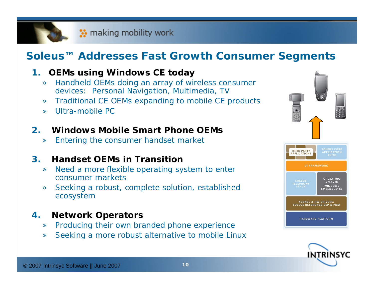# **Soleus™ Addresses Fast Growth Consumer Segments**

#### **1.OEMs using Windows CE today**

- » Handheld OEMs doing an array of wireless consumer devices: Personal Navigation, Multimedia, TV
- »Traditional CE OEMs expanding to mobile CE products
- »Ultra-mobile PC

#### **2.Windows Mobile Smart Phone OEMs**

»Entering the consumer handset market

#### **3.Handset OEMs in Transition**

- » Need a more flexible operating system to enter consumer markets
- » Seeking a robust, complete solution, established ecosystem

#### **4.Network Operators**

- »Producing their own branded phone experience
- »Seeking a more robust alternative to mobile Linux



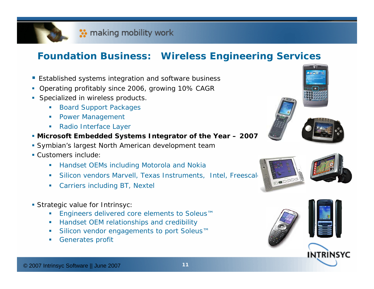# **Foundation Business: Wireless Engineering Services**

- Established systems integration and software business
- Operating profitably since 2006, growing 10% CAGF
- **Specialized in wireless products** 
	- $\mathcal{L}_{\mathcal{A}}$  . Board Support Packages
	- ш Power Management
	- П Radio Interface Layer
- *Microsoft Embedded Systems Integrator of the Year – 2007*
- Symbian's largest North American development team
- Customers include:
	- **Handset OEMs including Motorola and Nokia**
	- ш Silicon vendors Marvell, Texas Instruments, Intel, Freescale
	- ш Carriers including BT, Nextel
- Strategic value for Intrinsyc:
	- ш Engineers delivered core elements to Soleus™
	- П Handset OEM relationships and credibility
	- П Silicon vendor engagements to port Soleus™
	- ш Generates profit









INTRINSYC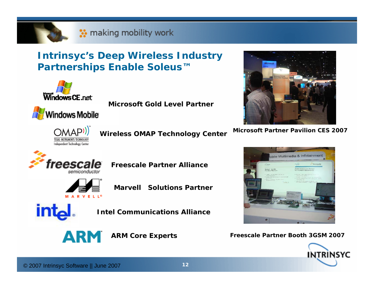

# **Intrinsyc's Deep Wireless Industry Partnerships Enable Soleus™**



**Microsoft Gold Level Partner**



**Windows Mobile** 

**Wireless OMAP Technology Center**



**Microsoft Partner Pavilion CES 2007**



**Freescale Partner Alliance** 



**Marvell Solutions Partner**



**Intel Communications Alliance**

**ARM** 

**ARM Core Experts**



**Freescale Partner Booth 3GSM 2007**

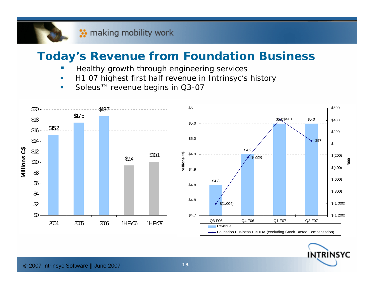# **Today's Revenue from Foundation Business**

- $\overline{\phantom{a}}$ Healthy growth through engineering services
- $\overline{\phantom{a}}$ H1 07 highest first half revenue in Intrinsyc's history
- $\overline{\phantom{a}}$ *Soleus™ revenue begins in Q3-07*



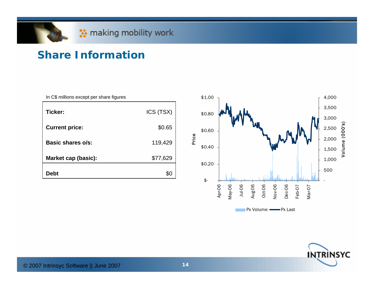# **<sup>●</sup>** making mobility work

# **Share Information**

| In C\$ millions except per share figures |           |
|------------------------------------------|-----------|
| Ticker:                                  | ICS (TSX) |
| <b>Current price:</b>                    | \$0.65    |
| Basic shares o/s:                        | 119,429   |
| <b>Market cap (basic):</b>               | \$77,629  |
| <b>Debt</b>                              |           |



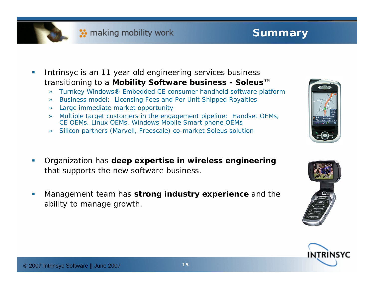

# **Summary**

- $\vert \cdot \vert$  Intrinsyc is an 11 year old engineering services business transitioning to a **Mobility Software business - Soleus™**
	- »Turnkey Windows® Embedded CE consumer handheld software platform
	- »Business model: Licensing Fees and Per Unit Shipped Royalties
	- »Large immediate market opportunity
	- » Multiple target customers in the engagement pipeline: Handset OEMs, CE OEMs, Linux OEMs, Windows Mobile Smart phone OEMs
	- »Silicon partners (Marvell, Freescale) co-market Soleus solution
- Ш Organization has **deep expertise in wireless engineering** that supports the new software business.
- П Management team has **strong industry experience** and the ability to manage growth.